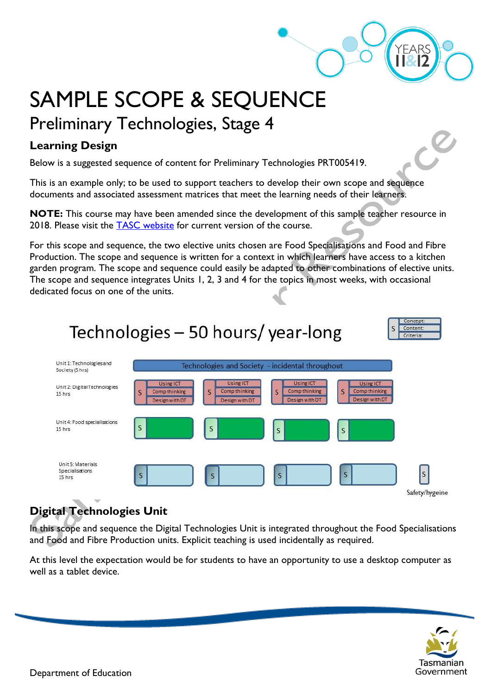# SAMPLE SCOPE & SEQUENCE Preliminary Technologies, Stage 4

## **Learning Design**

Below is a suggested sequence of content for Preliminary Technologies PRT005419.

This is an example only; to be used to support teachers to develop their own scope and sequence documents and associated assessment matrices that meet the learning needs of their learners.

**NOTE:** This course may have been amended since the development of this sample teacher resource in 2018. Please visit the [TASC website](https://www.tasc.tas.gov.au/students/courses/a-z/) for current version of the course.

For this scope and sequence, the two elective units chosen are Food Specialisations and Food and Fibre Production. The scope and sequence is written for a context in which learners have access to a kitchen garden program. The scope and sequence could easily be adapted to other combinations of elective units. The scope and sequence integrates Units 1, 2, 3 and 4 for the topics in most weeks, with occasional dedicated focus on one of the units.

## Technologies – 50 hours/ year-long

| oncept: |  |
|---------|--|
| ontent: |  |
| iteria: |  |



## **Digital Technologies Unit**

In this scope and sequence the Digital Technologies Unit is integrated throughout the Food Specialisations and Food and Fibre Production units. Explicit teaching is used incidentally as required.

At this level the expectation would be for students to have an opportunity to use a desktop computer as well as a tablet device.

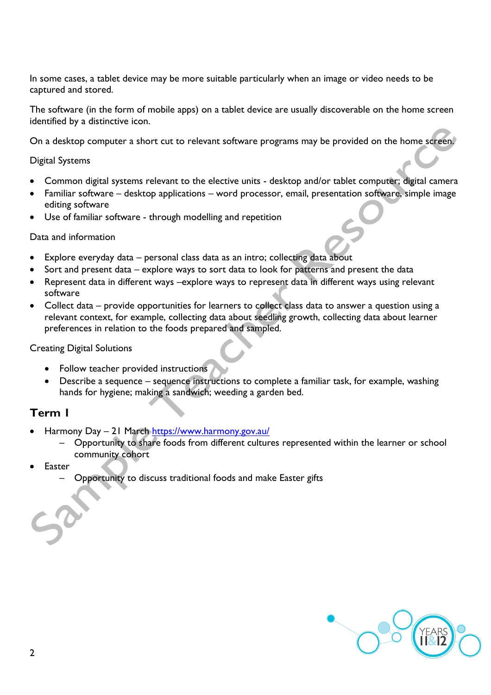In some cases, a tablet device may be more suitable particularly when an image or video needs to be captured and stored.

The software (in the form of mobile apps) on a tablet device are usually discoverable on the home screen identified by a distinctive icon.

On a desktop computer a short cut to relevant software programs may be provided on the home screen.

#### Digital Systems

- Common digital systems relevant to the elective units desktop and/or tablet computer; digital camera
- Familiar software desktop applications word processor, email, presentation software, simple image editing software
- Use of familiar software through modelling and repetition

#### Data and information

- Explore everyday data personal class data as an intro; collecting data about
- Sort and present data explore ways to sort data to look for patterns and present the data
- Represent data in different ways –explore ways to represent data in different ways using relevant software
- Collect data provide opportunities for learners to collect class data to answer a question using a relevant context, for example, collecting data about seedling growth, collecting data about learner preferences in relation to the foods prepared and sampled.

#### Creating Digital Solutions

- Follow teacher provided instructions
- Describe a sequence sequence instructions to complete a familiar task, for example, washing hands for hygiene; making a sandwich; weeding a garden bed.

#### **Term 1**

- Harmony Day 21 March<https://www.harmony.gov.au/>
	- Opportunity to share foods from different cultures represented within the learner or school community cohort
- **Easter** 
	- Opportunity to discuss traditional foods and make Easter gifts

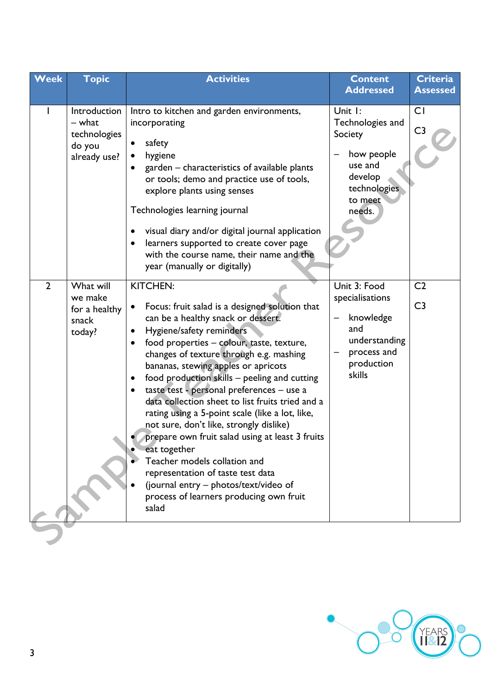| <b>Topic</b><br>Week                                                       | <b>Activities</b>                                                                                                                                                                                                                                                                                                                                                                                                                                                                                                                                                                                                                                                                                                                                                                                          | <b>Content</b><br><b>Addressed</b>                                                                              | <b>Criteria</b><br><b>Assessed</b> |
|----------------------------------------------------------------------------|------------------------------------------------------------------------------------------------------------------------------------------------------------------------------------------------------------------------------------------------------------------------------------------------------------------------------------------------------------------------------------------------------------------------------------------------------------------------------------------------------------------------------------------------------------------------------------------------------------------------------------------------------------------------------------------------------------------------------------------------------------------------------------------------------------|-----------------------------------------------------------------------------------------------------------------|------------------------------------|
| Introduction<br>- what<br>technologies<br>do you<br>already use?           | Intro to kitchen and garden environments,<br>incorporating<br>safety<br>hygiene<br>garden – characteristics of available plants<br>or tools; demo and practice use of tools,<br>explore plants using senses<br>Technologies learning journal<br>visual diary and/or digital journal application<br>$\bullet$<br>learners supported to create cover page<br>with the course name, their name and the<br>year (manually or digitally)                                                                                                                                                                                                                                                                                                                                                                        | Unit I:<br>Technologies and<br>Society<br>how people<br>use and<br>develop<br>technologies<br>to meet<br>needs. | <b>CI</b><br>C <sub>3</sub>        |
| $\overline{2}$<br>What will<br>we make<br>for a healthy<br>snack<br>today? | <b>KITCHEN:</b><br>Focus: fruit salad is a designed solution that<br>$\bullet$<br>can be a healthy snack or dessert.<br>Hygiene/safety reminders<br>$\bullet$<br>food properties - colour, taste, texture,<br>changes of texture through e.g. mashing<br>bananas, stewing apples or apricots<br>food production skills - peeling and cutting<br>$\bullet$<br>taste test - personal preferences - use a<br>$\bullet$<br>data collection sheet to list fruits tried and a<br>rating using a 5-point scale (like a lot, like,<br>not sure, don't like, strongly dislike)<br>prepare own fruit salad using at least 3 fruits<br>eat together<br>Teacher models collation and<br>representation of taste test data<br>(journal entry - photos/text/video of<br>process of learners producing own fruit<br>salad | Unit 3: Food<br>specialisations<br>knowledge<br>and<br>understanding<br>process and<br>production<br>skills     | C <sub>2</sub><br>C <sub>3</sub>   |

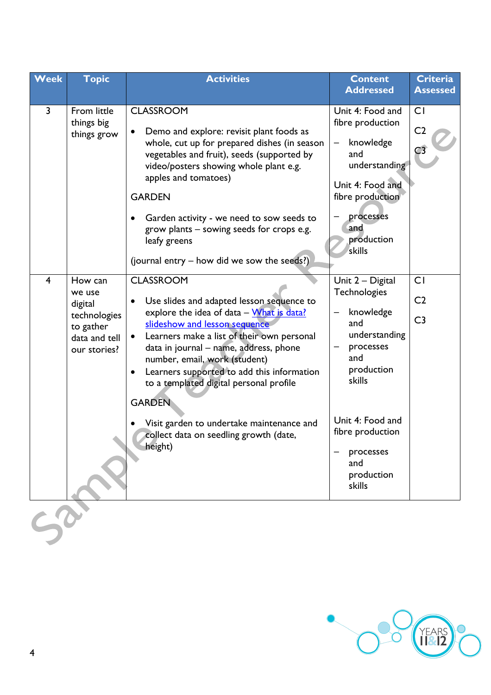| Week           | <b>Topic</b>                                                                               | <b>Activities</b>                                                                                                                                                                                                                                                                                                                                                                                                                                                                                         | <b>Content</b><br><b>Addressed</b>                                                                                                                                                                           | <b>Criteria</b><br><b>Assessed</b>            |
|----------------|--------------------------------------------------------------------------------------------|-----------------------------------------------------------------------------------------------------------------------------------------------------------------------------------------------------------------------------------------------------------------------------------------------------------------------------------------------------------------------------------------------------------------------------------------------------------------------------------------------------------|--------------------------------------------------------------------------------------------------------------------------------------------------------------------------------------------------------------|-----------------------------------------------|
| 3              | From little<br>things big<br>things grow                                                   | <b>CLASSROOM</b><br>Demo and explore: revisit plant foods as<br>whole, cut up for prepared dishes (in season<br>vegetables and fruit), seeds (supported by<br>video/posters showing whole plant e.g.<br>apples and tomatoes)<br><b>GARDEN</b><br>Garden activity - we need to sow seeds to<br>grow plants – sowing seeds for crops e.g.<br>leafy greens<br>(journal entry – how did we sow the seeds?)                                                                                                    | Unit 4: Food and<br>fibre production<br>knowledge<br>and<br>understanding<br>Unit 4: Food and<br>fibre production<br>processes<br>and<br>production<br>skills                                                | CI<br>C <sub>2</sub><br>C3                    |
| $\overline{4}$ | How can<br>we use<br>digital<br>technologies<br>to gather<br>data and tell<br>our stories? | <b>CLASSROOM</b><br>Use slides and adapted lesson sequence to<br>explore the idea of data - What is data?<br>slideshow and lesson sequence<br>Learners make a list of their own personal<br>$\bullet$<br>data in journal - name, address, phone<br>number, email, work (student)<br>Learners supported to add this information<br>$\bullet$<br>to a templated digital personal profile<br><b>GARDEN</b><br>Visit garden to undertake maintenance and<br>collect data on seedling growth (date,<br>height) | Unit 2 - Digital<br><b>Technologies</b><br>knowledge<br>and<br>understanding<br>processes<br>and<br>production<br>skills<br>Unit 4: Food and<br>fibre production<br>processes<br>and<br>production<br>skills | <b>CI</b><br>C <sub>2</sub><br>C <sub>3</sub> |
|                |                                                                                            |                                                                                                                                                                                                                                                                                                                                                                                                                                                                                                           |                                                                                                                                                                                                              |                                               |

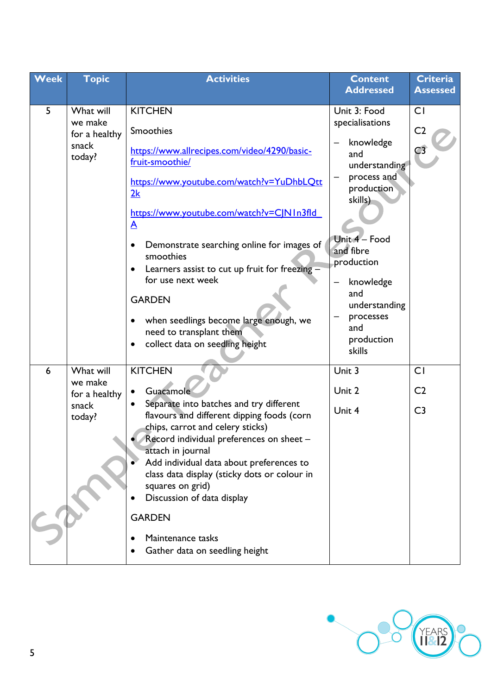| <b>Week</b> | <b>Topic</b>                                             | <b>Activities</b>                                                                                                                                                                                                                                                                                                                                                                                                                                                                | <b>Content</b>                                                                                                                                                                                                                                      | <b>Criteria</b>                               |
|-------------|----------------------------------------------------------|----------------------------------------------------------------------------------------------------------------------------------------------------------------------------------------------------------------------------------------------------------------------------------------------------------------------------------------------------------------------------------------------------------------------------------------------------------------------------------|-----------------------------------------------------------------------------------------------------------------------------------------------------------------------------------------------------------------------------------------------------|-----------------------------------------------|
|             |                                                          |                                                                                                                                                                                                                                                                                                                                                                                                                                                                                  |                                                                                                                                                                                                                                                     |                                               |
| 5           | What will<br>we make<br>for a healthy<br>snack<br>today? | <b>KITCHEN</b><br>Smoothies<br>https://www.allrecipes.com/video/4290/basic-<br>fruit-smoothie/<br>https://www.youtube.com/watch?v=YuDhbLQtt<br>2k<br>https://www.youtube.com/watch?v=CJN1n3fld<br>$\mathbf{A}$<br>Demonstrate searching online for images of<br>smoothies<br>Learners assist to cut up fruit for freezing -<br>$\bullet$<br>for use next week<br><b>GARDEN</b><br>when seedlings become large enough, we<br>$\bullet$<br>need to transplant them                 | <b>Addressed</b><br>Unit 3: Food<br>specialisations<br>knowledge<br>and<br>understanding<br>process and<br>production<br>skills)<br>Unit 4 - Food<br>and fibre<br>production<br>knowledge<br>and<br>understanding<br>processes<br>and<br>production | <b>Assessed</b><br>CI<br>C <sub>2</sub><br>C3 |
|             |                                                          | collect data on seedling height<br>٠                                                                                                                                                                                                                                                                                                                                                                                                                                             | skills                                                                                                                                                                                                                                              |                                               |
| 6           | What will<br>we make<br>for a healthy<br>snack<br>today? | <b>KITCHEN</b><br><b>Guacamole</b><br>$\bullet$<br>Separate into batches and try different<br>$\bullet$<br>flavours and different dipping foods (corn<br>chips, carrot and celery sticks)<br>Record individual preferences on sheet -<br>attach in journal<br>Add individual data about preferences to<br>class data display (sticky dots or colour in<br>squares on grid)<br>Discussion of data display<br><b>GARDEN</b><br>Maintenance tasks<br>Gather data on seedling height | Unit 3<br>Unit 2<br>Unit 4                                                                                                                                                                                                                          | CI<br>C <sub>2</sub><br>C <sub>3</sub>        |

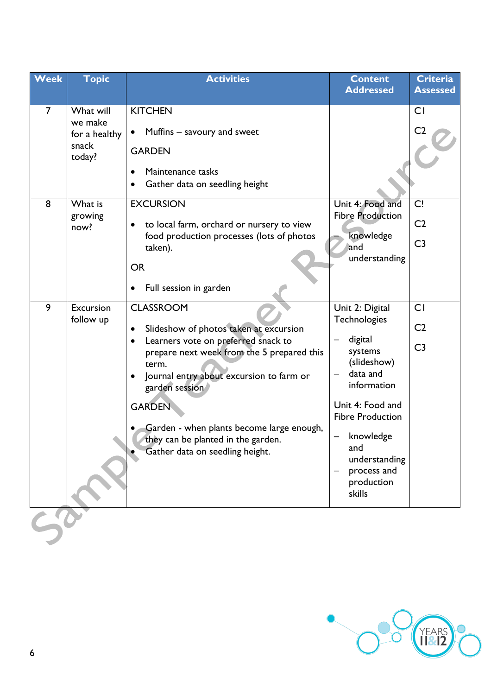| Week                | <b>Topic</b>                                                        | <b>Activities</b>                                                                                                                                                                                                                                                                                                                                                                                    | <b>Content</b><br><b>Addressed</b>                                                                                                                                                                                         | Criteria<br><b>Assessed</b>            |
|---------------------|---------------------------------------------------------------------|------------------------------------------------------------------------------------------------------------------------------------------------------------------------------------------------------------------------------------------------------------------------------------------------------------------------------------------------------------------------------------------------------|----------------------------------------------------------------------------------------------------------------------------------------------------------------------------------------------------------------------------|----------------------------------------|
|                     |                                                                     |                                                                                                                                                                                                                                                                                                                                                                                                      |                                                                                                                                                                                                                            |                                        |
| $\overline{7}$<br>8 | What will<br>we make<br>for a healthy<br>snack<br>today?<br>What is | <b>KITCHEN</b><br>Muffins – savoury and sweet<br>$\bullet$<br><b>GARDEN</b><br>Maintenance tasks<br>$\bullet$<br>Gather data on seedling height<br>$\bullet$<br><b>EXCURSION</b>                                                                                                                                                                                                                     | Unit 4: Food and                                                                                                                                                                                                           | <b>CI</b><br>C <sub>2</sub><br>C!      |
|                     | growing<br>now?                                                     | to local farm, orchard or nursery to view<br>food production processes (lots of photos<br>taken).<br><b>OR</b><br>Full session in garden<br>$\bullet$                                                                                                                                                                                                                                                | <b>Fibre Production</b><br>knowledge<br>and<br>understanding                                                                                                                                                               | C <sub>2</sub><br>C <sub>3</sub>       |
| 9                   | Excursion<br>follow up                                              | <b>CLASSROOM</b><br>Slideshow of photos taken at excursion<br>$\bullet$<br>Learners vote on preferred snack to<br>$\bullet$<br>prepare next week from the 5 prepared this<br>term.<br>Journal entry about excursion to farm or<br>$\bullet$<br>garden session<br><b>GARDEN</b><br>Garden - when plants become large enough,<br>they can be planted in the garden.<br>Gather data on seedling height. | Unit 2: Digital<br>Technologies<br>digital<br>systems<br>(slideshow)<br>data and<br>information<br>Unit 4: Food and<br><b>Fibre Production</b><br>knowledge<br>and<br>understanding<br>process and<br>production<br>skills | CI<br>C <sub>2</sub><br>C <sub>3</sub> |
|                     |                                                                     |                                                                                                                                                                                                                                                                                                                                                                                                      |                                                                                                                                                                                                                            |                                        |

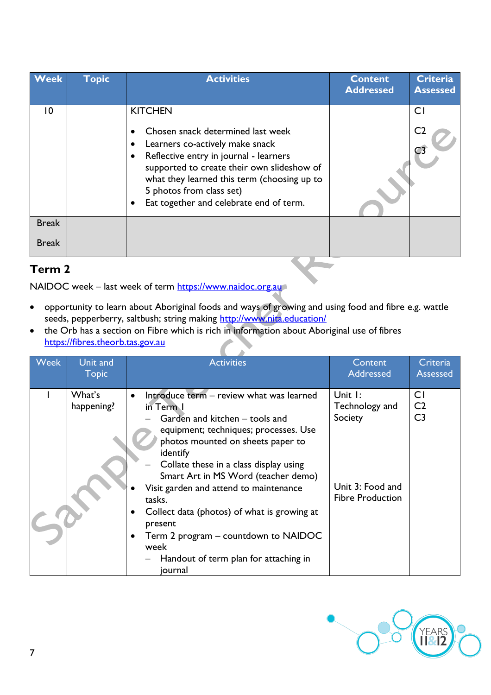| <b>Week</b>  | <b>Topic</b> | <b>Activities</b>                                                                                                                                                                                                                                                                                    | <b>Content</b><br><b>Addressed</b> | <b>Criteria</b><br><b>Assessed</b> |
|--------------|--------------|------------------------------------------------------------------------------------------------------------------------------------------------------------------------------------------------------------------------------------------------------------------------------------------------------|------------------------------------|------------------------------------|
| 10           |              | <b>KITCHEN</b><br>Chosen snack determined last week<br>Learners co-actively make snack<br>Reflective entry in journal - learners<br>supported to create their own slideshow of<br>what they learned this term (choosing up to<br>5 photos from class set)<br>Eat together and celebrate end of term. |                                    | C <sub>1</sub><br>C <sub>2</sub>   |
| <b>Break</b> |              |                                                                                                                                                                                                                                                                                                      |                                    |                                    |
| <b>Break</b> |              |                                                                                                                                                                                                                                                                                                      |                                    |                                    |

## **Term 2**

NAIDOC week – last week of term [https://www.naidoc.org.au](https://www.naidoc.org.au/)

- opportunity to learn about Aboriginal foods and ways of growing and using food and fibre e.g. wattle seeds, pepperberry, saltbush; string making http://www.nita.education/
- the Orb has a section on Fibre which is rich in information about Aboriginal use of fibres [https://fibres.theorb.tas.gov.au](https://fibres.theorb.tas.gov.au/)

| Week | Unit and<br><b>Topic</b> | <b>Activities</b>                                                                                                                                                                                                                                                                                                                                                                                                                                                                                              | Content<br>Addressed                                                                            | Criteria<br><b>Assessed</b>                        |
|------|--------------------------|----------------------------------------------------------------------------------------------------------------------------------------------------------------------------------------------------------------------------------------------------------------------------------------------------------------------------------------------------------------------------------------------------------------------------------------------------------------------------------------------------------------|-------------------------------------------------------------------------------------------------|----------------------------------------------------|
|      | What's<br>happening?     | Introduce term - review what was learned<br>$\bullet$<br>in Term I<br>Garden and kitchen – tools and<br>equipment; techniques; processes. Use<br>photos mounted on sheets paper to<br>identify<br>Collate these in a class display using<br>Smart Art in MS Word (teacher demo)<br>Visit garden and attend to maintenance<br>tasks.<br>Collect data (photos) of what is growing at<br>$\bullet$<br>present<br>Term 2 program – countdown to NAIDOC<br>week<br>Handout of term plan for attaching in<br>journal | Unit $\mathsf{I}$ :<br>Technology and<br>Society<br>Unit 3: Food and<br><b>Fibre Production</b> | C <sub>I</sub><br>C <sub>2</sub><br>C <sub>3</sub> |

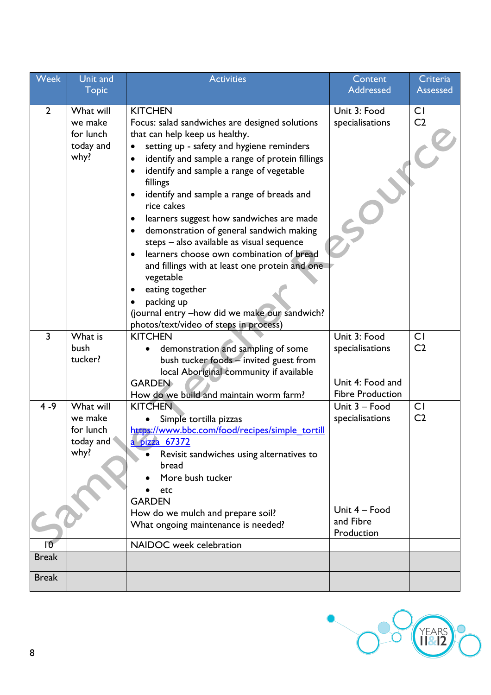| Week            | Unit and             | <b>Activities</b>                                            | Content                 | Criteria                    |
|-----------------|----------------------|--------------------------------------------------------------|-------------------------|-----------------------------|
|                 | <b>Topic</b>         |                                                              | Addressed               | <b>Assessed</b>             |
| $\overline{2}$  |                      | <b>KITCHEN</b>                                               |                         |                             |
|                 | What will<br>we make | Focus: salad sandwiches are designed solutions               | Unit 3: Food            | <b>CI</b><br>C <sub>2</sub> |
|                 | for lunch            | that can help keep us healthy.                               | specialisations         |                             |
|                 | today and            | setting up - safety and hygiene reminders                    |                         |                             |
|                 | why?                 | identify and sample a range of protein fillings<br>$\bullet$ |                         |                             |
|                 |                      | identify and sample a range of vegetable<br>$\bullet$        |                         |                             |
|                 |                      | fillings                                                     |                         |                             |
|                 |                      | identify and sample a range of breads and<br>$\bullet$       |                         |                             |
|                 |                      | rice cakes                                                   |                         |                             |
|                 |                      | learners suggest how sandwiches are made<br>$\bullet$        |                         |                             |
|                 |                      | demonstration of general sandwich making<br>$\bullet$        |                         |                             |
|                 |                      | steps - also available as visual sequence                    |                         |                             |
|                 |                      | learners choose own combination of bread                     |                         |                             |
|                 |                      | and fillings with at least one protein and one               |                         |                             |
|                 |                      | vegetable                                                    |                         |                             |
|                 |                      | eating together                                              |                         |                             |
|                 |                      | packing up                                                   |                         |                             |
|                 |                      | (journal entry -how did we make our sandwich?                |                         |                             |
|                 |                      | photos/text/video of steps in process)                       |                         |                             |
| $\overline{3}$  | What is              | <b>KITCHEN</b>                                               | Unit 3: Food            | C <sub>I</sub>              |
|                 | bush                 | demonstration and sampling of some                           | specialisations         | C <sub>2</sub>              |
|                 | tucker?              | bush tucker foods - invited guest from                       |                         |                             |
|                 |                      | local Aboriginal community if available<br><b>GARDEN</b>     | Unit 4: Food and        |                             |
|                 |                      | How do we build and maintain worm farm?                      | <b>Fibre Production</b> |                             |
| $4 - 9$         | What will            | <b>KITCHEN</b>                                               | Unit 3 - Food           | <b>CI</b>                   |
|                 | we make              | Simple tortilla pizzas                                       | specialisations         | C <sub>2</sub>              |
|                 | for lunch            | https://www.bbc.com/food/recipes/simple_tortill              |                         |                             |
|                 | today and            | <u>a pizza 67372</u>                                         |                         |                             |
|                 | why?                 | Revisit sandwiches using alternatives to                     |                         |                             |
|                 |                      | bread                                                        |                         |                             |
|                 |                      | More bush tucker                                             |                         |                             |
|                 |                      | etc                                                          |                         |                             |
|                 |                      | <b>GARDEN</b>                                                |                         |                             |
|                 |                      | How do we mulch and prepare soil?                            | Unit 4 - Food           |                             |
|                 |                      | What ongoing maintenance is needed?                          | and Fibre<br>Production |                             |
| $\overline{10}$ |                      | NAIDOC week celebration                                      |                         |                             |
| <b>Break</b>    |                      |                                                              |                         |                             |
|                 |                      |                                                              |                         |                             |
| <b>Break</b>    |                      |                                                              |                         |                             |

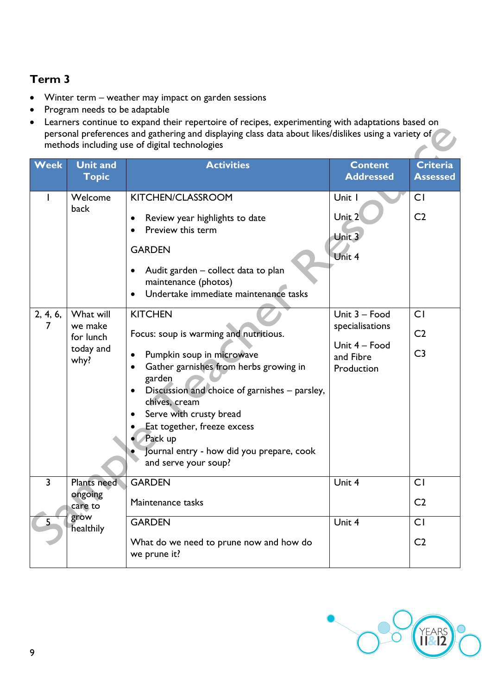## **Term 3**

- Winter term weather may impact on garden sessions
- Program needs to be adaptable
- Learners continue to expand their repertoire of recipes, experimenting with adaptations based on personal preferences and gathering and displaying class data about likes/dislikes using a variety of methods including use of digital technologies

| <b>Week</b>    | <b>Unit and</b>                                        | <b>Activities</b>                                                                                                                                                                                                                                                                                                                                                  | <b>Content</b>                                                               | <b>Criteria</b>                        |
|----------------|--------------------------------------------------------|--------------------------------------------------------------------------------------------------------------------------------------------------------------------------------------------------------------------------------------------------------------------------------------------------------------------------------------------------------------------|------------------------------------------------------------------------------|----------------------------------------|
|                | <b>Topic</b>                                           |                                                                                                                                                                                                                                                                                                                                                                    | <b>Addressed</b>                                                             | <b>Assessed</b>                        |
|                | Welcome<br>back                                        | KITCHEN/CLASSROOM<br>Review year highlights to date<br>$\bullet$<br>Preview this term<br><b>GARDEN</b><br>Audit garden - collect data to plan<br>$\bullet$<br>maintenance (photos)<br>Undertake immediate maintenance tasks                                                                                                                                        | Unit I<br>Unit <sub>2</sub><br>Unit 3<br>Unit 4                              | <b>CI</b><br>C <sub>2</sub>            |
| 2, 4, 6,<br>7  | What will<br>we make<br>for lunch<br>today and<br>why? | <b>KITCHEN</b><br>Focus: soup is warming and nutritious.<br>Pumpkin soup in microwave<br>Gather garnishes from herbs growing in<br>garden<br>Discussion and choice of garnishes - parsley,<br>$\bullet$<br>chives, cream<br>Serve with crusty bread<br>Eat together, freeze excess<br>Pack up<br>Journal entry - how did you prepare, cook<br>and serve your soup? | Unit 3 - Food<br>specialisations<br>Unit 4 - Food<br>and Fibre<br>Production | CI<br>C <sub>2</sub><br>C <sub>3</sub> |
| $\overline{3}$ | Plants need                                            | <b>GARDEN</b>                                                                                                                                                                                                                                                                                                                                                      | Unit 4                                                                       | CI                                     |
|                | ongoing<br>care to                                     | Maintenance tasks                                                                                                                                                                                                                                                                                                                                                  |                                                                              | C <sub>2</sub>                         |
|                | grow<br>healthily                                      | <b>GARDEN</b>                                                                                                                                                                                                                                                                                                                                                      | Unit 4                                                                       | CI                                     |
|                |                                                        | What do we need to prune now and how do<br>we prune it?                                                                                                                                                                                                                                                                                                            |                                                                              | C <sub>2</sub>                         |

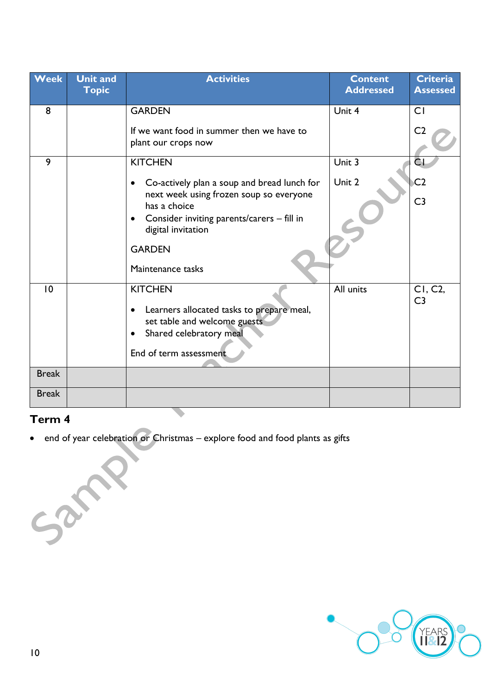| <b>Week</b>  | <b>Unit and</b><br><b>Topic</b> | <b>Activities</b>                                                                                                                        | <b>Content</b><br><b>Addressed</b> | <b>Criteria</b><br><b>Assessed</b> |
|--------------|---------------------------------|------------------------------------------------------------------------------------------------------------------------------------------|------------------------------------|------------------------------------|
| 8            |                                 | <b>GARDEN</b>                                                                                                                            | Unit 4                             | CI                                 |
|              |                                 | If we want food in summer then we have to<br>plant our crops now                                                                         |                                    | C <sub>2</sub>                     |
| 9            |                                 | <b>KITCHEN</b>                                                                                                                           | Unit 3                             | CI                                 |
|              |                                 | Co-actively plan a soup and bread lunch for<br>$\bullet$                                                                                 | Unit 2                             | C <sub>2</sub>                     |
|              |                                 | next week using frozen soup so everyone<br>has a choice<br>Consider inviting parents/carers - fill in<br>$\bullet$<br>digital invitation |                                    | C <sub>3</sub>                     |
|              |                                 | <b>GARDEN</b><br>Maintenance tasks                                                                                                       |                                    |                                    |
| 10           |                                 | <b>KITCHEN</b>                                                                                                                           | All units                          | CI, C2,<br>C <sub>3</sub>          |
|              |                                 | Learners allocated tasks to prepare meal,<br>$\bullet$<br>set table and welcome guests                                                   |                                    |                                    |
|              |                                 | Shared celebratory meal<br>$\bullet$                                                                                                     |                                    |                                    |
|              |                                 | End of term assessment                                                                                                                   |                                    |                                    |
| <b>Break</b> |                                 |                                                                                                                                          |                                    |                                    |
| <b>Break</b> |                                 |                                                                                                                                          |                                    |                                    |

### **Term 4**

Sanne

• end of year celebration or Christmas – explore food and food plants as gifts